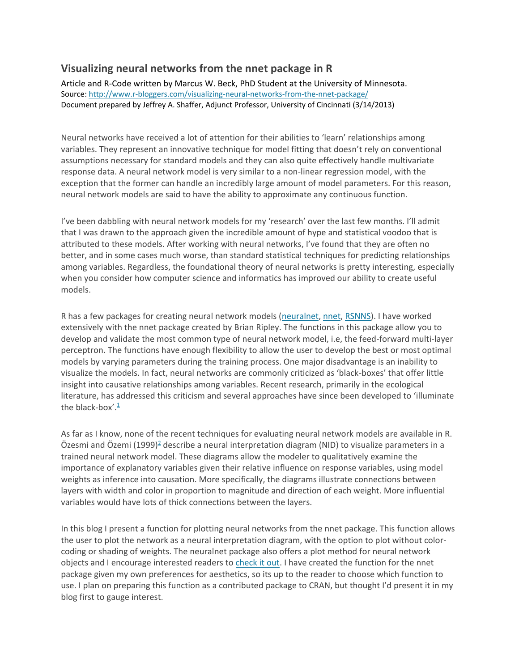## **Visualizing neural networks from the nnet package in R**

Article and R-Code written by Marcus W. Beck, PhD Student at the University of Minnesota. Source[: http://www.r-bloggers.com/visualizing-neural-networks-from-the-nnet-package/](http://www.r-bloggers.com/visualizing-neural-networks-from-the-nnet-package/) Document prepared by Jeffrey A. Shaffer, Adjunct Professor, University of Cincinnati (3/14/2013)

Neural networks have received a lot of attention for their abilities to 'learn' relationships among variables. They represent an innovative technique for model fitting that doesn't rely on conventional assumptions necessary for standard models and they can also quite effectively handle multivariate response data. A neural network model is very similar to a non-linear regression model, with the exception that the former can handle an incredibly large amount of model parameters. For this reason, neural network models are said to have the ability to approximate any continuous function.

I've been dabbling with neural network models for my 'research' over the last few months. I'll admit that I was drawn to the approach given the incredible amount of hype and statistical voodoo that is attributed to these models. After working with neural networks, I've found that they are often no better, and in some cases much worse, than standard statistical techniques for predicting relationships among variables. Regardless, the foundational theory of neural networks is pretty interesting, especially when you consider how computer science and informatics has improved our ability to create useful models.

R has a few packages for creating neural network models [\(neuralnet,](http://cran.r-project.org/web/packages/neuralnet/index.html) [nnet,](http://cran.r-project.org/web/packages/nnet/index.html) [RSNNS\)](http://cran.r-project.org/web/packages/RSNNS/index.html). I have worked extensively with the nnet package created by Brian Ripley. The functions in this package allow you to develop and validate the most common type of neural network model, i.e, the feed-forward multi-layer perceptron. The functions have enough flexibility to allow the user to develop the best or most optimal models by varying parameters during the training process. One major disadvantage is an inability to visualize the models. In fact, neural networks are commonly criticized as 'black-boxes' that offer little insight into causative relationships among variables. Recent research, primarily in the ecological literature, has addressed this criticism and several approaches have since been developed to 'illuminate the black-box'. $\frac{1}{2}$  $\frac{1}{2}$  $\frac{1}{2}$ 

As far as I know, none of the recent techniques for evaluating neural network models are available in R.  $\ddot{O}$ zesmi and  $\ddot{O}$ zemi (1999[\)](http://beckmw.wordpress.com/2013/03/04/visualizing-neural-networks-from-the-nnet-package/#ref2)<sup>2</sup> describe a neural interpretation diagram (NID) to visualize parameters in a trained neural network model. These diagrams allow the modeler to qualitatively examine the importance of explanatory variables given their relative influence on response variables, using model weights as inference into causation. More specifically, the diagrams illustrate connections between layers with width and color in proportion to magnitude and direction of each weight. More influential variables would have lots of thick connections between the layers.

In this blog I present a function for plotting neural networks from the nnet package. This function allows the user to plot the network as a neural interpretation diagram, with the option to plot without colorcoding or shading of weights. The neuralnet package also offers a plot method for neural network objects and I encourage interested readers to [check it out.](http://gekkoquant.com/2012/05/26/neural-networks-with-r-simple-example/) I have created the function for the nnet package given my own preferences for aesthetics, so its up to the reader to choose which function to use. I plan on preparing this function as a contributed package to CRAN, but thought I'd present it in my blog first to gauge interest.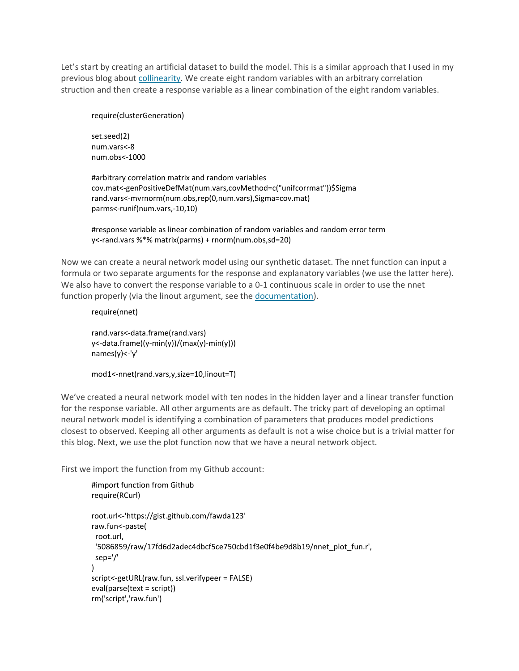Let's start by creating an artificial dataset to build the model. This is a similar approach that I used in my previous blog abou[t collinearity.](http://beckmw.wordpress.com/2013/02/05/collinearity-and-stepwise-vif-selection/) We create eight random variables with an arbitrary correlation struction and then create a response variable as a linear combination of the eight random variables.

require(clusterGeneration)

set.seed(2) num.vars<-8 num.obs<-1000

#arbitrary correlation matrix and random variables cov.mat<-genPositiveDefMat(num.vars,covMethod=c("unifcorrmat"))\$Sigma rand.vars<-mvrnorm(num.obs,rep(0,num.vars),Sigma=cov.mat) parms<-runif(num.vars,-10,10)

#response variable as linear combination of random variables and random error term y<-rand.vars %\*% matrix(parms) + rnorm(num.obs,sd=20)

Now we can create a neural network model using our synthetic dataset. The nnet function can input a formula or two separate arguments for the response and explanatory variables (we use the latter here). We also have to convert the response variable to a 0-1 continuous scale in order to use the nnet function properly (via the linout argument, see the [documentation\)](http://cran.r-project.org/web/packages/nnet/nnet.pdf).

require(nnet) rand.vars<-data.frame(rand.vars) y<-data.frame((y-min(y))/(max(y)-min(y))) names(y)<-'y'

mod1<-nnet(rand.vars,y,size=10,linout=T)

We've created a neural network model with ten nodes in the hidden layer and a linear transfer function for the response variable. All other arguments are as default. The tricky part of developing an optimal neural network model is identifying a combination of parameters that produces model predictions closest to observed. Keeping all other arguments as default is not a wise choice but is a trivial matter for this blog. Next, we use the plot function now that we have a neural network object.

First we import the function from my Github account:

```
#import function from Github
require(RCurl)
root.url<-'https://gist.github.com/fawda123'
raw.fun<-paste(
 root.url,
 '5086859/raw/17fd6d2adec4dbcf5ce750cbd1f3e0f4be9d8b19/nnet_plot_fun.r',
 sep='/'
)
script<-getURL(raw.fun, ssl.verifypeer = FALSE)
eval(parse(text = script))
rm('script','raw.fun')
```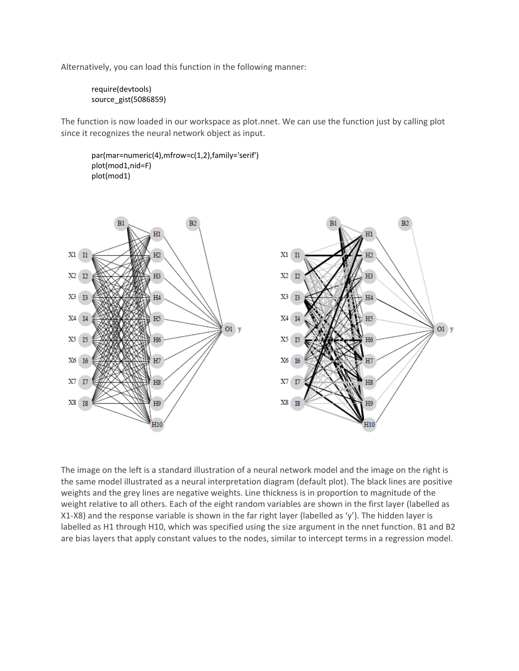Alternatively, you can load this function in the following manner:

require(devtools) source\_gist(5086859)

The function is now loaded in our workspace as plot.nnet. We can use the function just by calling plot since it recognizes the neural network object as input.

par(mar=numeric(4),mfrow=c(1,2),family='serif') plot(mod1,nid=F) plot(mod1)



The image on the left is a standard illustration of a neural network model and the image on the right is the same model illustrated as a neural interpretation diagram (default plot). The black lines are positive weights and the grey lines are negative weights. Line thickness is in proportion to magnitude of the weight relative to all others. Each of the eight random variables are shown in the first layer (labelled as X1-X8) and the response variable is shown in the far right layer (labelled as 'y'). The hidden layer is labelled as H1 through H10, which was specified using the size argument in the nnet function. B1 and B2 are bias layers that apply constant values to the nodes, similar to intercept terms in a regression model.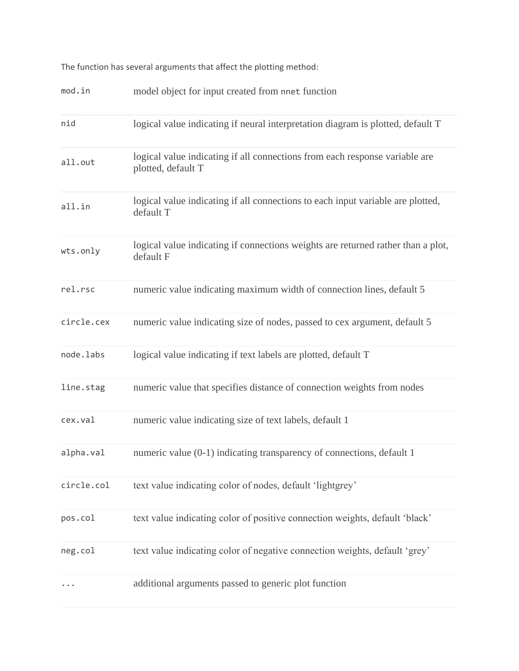The function has several arguments that affect the plotting method:

| mod.in     | model object for input created from nnet function                                                 |
|------------|---------------------------------------------------------------------------------------------------|
| nid        | logical value indicating if neural interpretation diagram is plotted, default T                   |
| all.out    | logical value indicating if all connections from each response variable are<br>plotted, default T |
| all.in     | logical value indicating if all connections to each input variable are plotted,<br>default T      |
| wts.only   | logical value indicating if connections weights are returned rather than a plot,<br>default F     |
| rel.rsc    | numeric value indicating maximum width of connection lines, default 5                             |
| circle.cex | numeric value indicating size of nodes, passed to cex argument, default 5                         |
| node.labs  | logical value indicating if text labels are plotted, default T                                    |
| line.stag  | numeric value that specifies distance of connection weights from nodes                            |
| cex.val    | numeric value indicating size of text labels, default 1                                           |
| alpha.val  | numeric value (0-1) indicating transparency of connections, default 1                             |
| circle.col | text value indicating color of nodes, default 'lightgrey'                                         |
| pos.col    | text value indicating color of positive connection weights, default 'black'                       |
| neg.col    | text value indicating color of negative connection weights, default 'grey'                        |
|            | additional arguments passed to generic plot function                                              |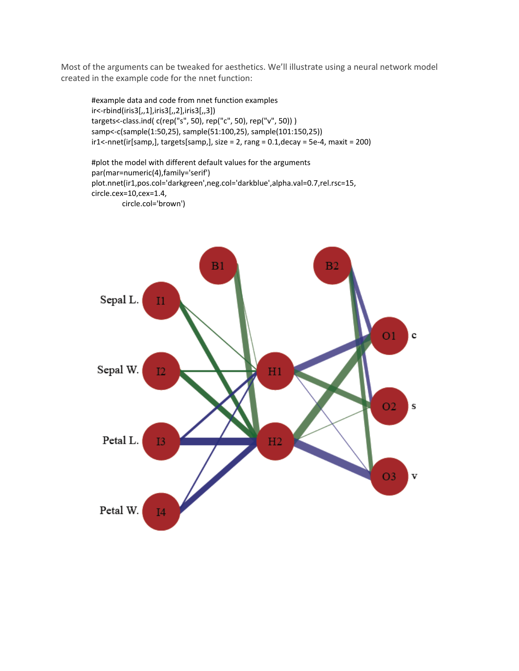Most of the arguments can be tweaked for aesthetics. We'll illustrate using a neural network model created in the example code for the nnet function:

#example data and code from nnet function examples ir<-rbind(iris3[,,1],iris3[,,2],iris3[,,3]) targets<-class.ind( c(rep("s", 50), rep("c", 50), rep("v", 50)) ) samp<-c(sample(1:50,25), sample(51:100,25), sample(101:150,25)) ir1<-nnet(ir[samp,], targets[samp,], size = 2, rang = 0.1,decay = 5e-4, maxit = 200)

#plot the model with different default values for the arguments par(mar=numeric(4),family='serif') plot.nnet(ir1,pos.col='darkgreen',neg.col='darkblue',alpha.val=0.7,rel.rsc=15, circle.cex=10,cex=1.4, circle.col='brown')

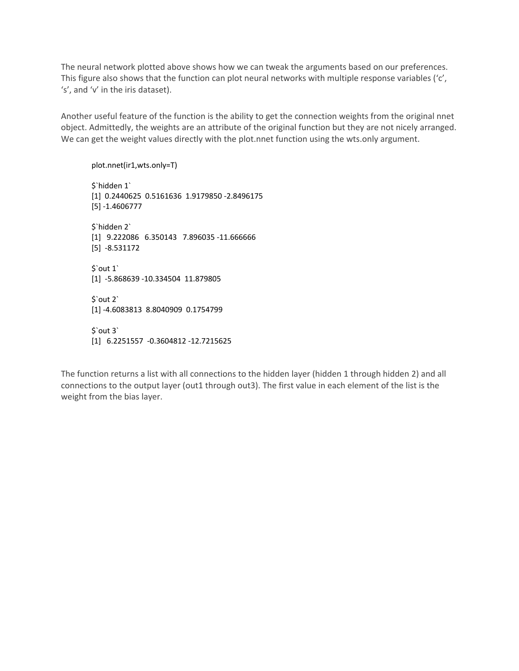The neural network plotted above shows how we can tweak the arguments based on our preferences. This figure also shows that the function can plot neural networks with multiple response variables ('c', 's', and 'v' in the iris dataset).

Another useful feature of the function is the ability to get the connection weights from the original nnet object. Admittedly, the weights are an attribute of the original function but they are not nicely arranged. We can get the weight values directly with the plot.nnet function using the wts.only argument.

plot.nnet(ir1,wts.only=T)

\$`hidden 1` [1] 0.2440625 0.5161636 1.9179850 -2.8496175 [5] -1.4606777 \$`hidden 2` [1] 9.222086 6.350143 7.896035 -11.666666 [5] -8.531172 \$`out 1` [1] -5.868639 -10.334504 11.879805 \$`out 2` [1] -4.6083813 8.8040909 0.1754799 \$`out 3` [1] 6.2251557 -0.3604812 -12.7215625

The function returns a list with all connections to the hidden layer (hidden 1 through hidden 2) and all connections to the output layer (out1 through out3). The first value in each element of the list is the weight from the bias layer.